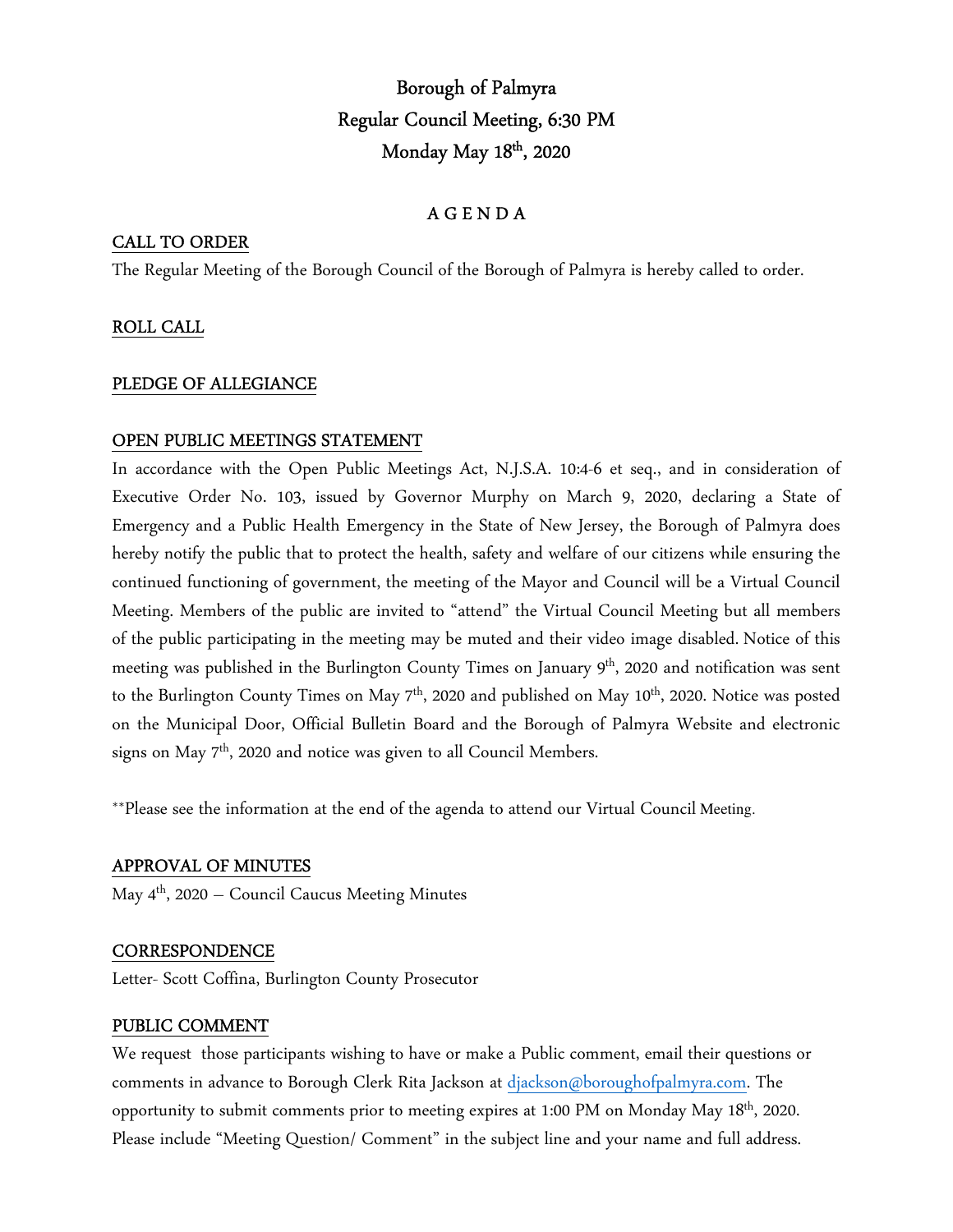# Borough of Palmyra Regular Council Meeting, 6:30 PM Monday May 18th, 2020

## A G E N D A

## CALL TO ORDER

The Regular Meeting of the Borough Council of the Borough of Palmyra is hereby called to order.

## ROLL CALL

#### PLEDGE OF ALLEGIANCE

#### OPEN PUBLIC MEETINGS STATEMENT

In accordance with the Open Public Meetings Act, N.J.S.A. 10:4-6 et seq., and in consideration of Executive Order No. 103, issued by Governor Murphy on March 9, 2020, declaring a State of Emergency and a Public Health Emergency in the State of New Jersey, the Borough of Palmyra does hereby notify the public that to protect the health, safety and welfare of our citizens while ensuring the continued functioning of government, the meeting of the Mayor and Council will be a Virtual Council Meeting. Members of the public are invited to "attend" the Virtual Council Meeting but all members of the public participating in the meeting may be muted and their video image disabled. Notice of this meeting was published in the Burlington County Times on January 9<sup>th</sup>, 2020 and notification was sent to the Burlington County Times on May  $7<sup>th</sup>$ , 2020 and published on May  $10<sup>th</sup>$ , 2020. Notice was posted on the Municipal Door, Official Bulletin Board and the Borough of Palmyra Website and electronic signs on May 7<sup>th</sup>, 2020 and notice was given to all Council Members.

\*\*Please see the information at the end of the agenda to attend our Virtual Council Meeting.

#### APPROVAL OF MINUTES

May  $4<sup>th</sup>$ , 2020 – Council Caucus Meeting Minutes

#### **CORRESPONDENCE**

Letter- Scott Coffina, Burlington County Prosecutor

#### PUBLIC COMMENT

We request those participants wishing to have or make a Public comment, email their questions or comments in advance to Borough Clerk Rita Jackson at djackson@boroughofpalmyra.com. The opportunity to submit comments prior to meeting expires at 1:00 PM on Monday May 18th, 2020. Please include "Meeting Question/ Comment" in the subject line and your name and full address.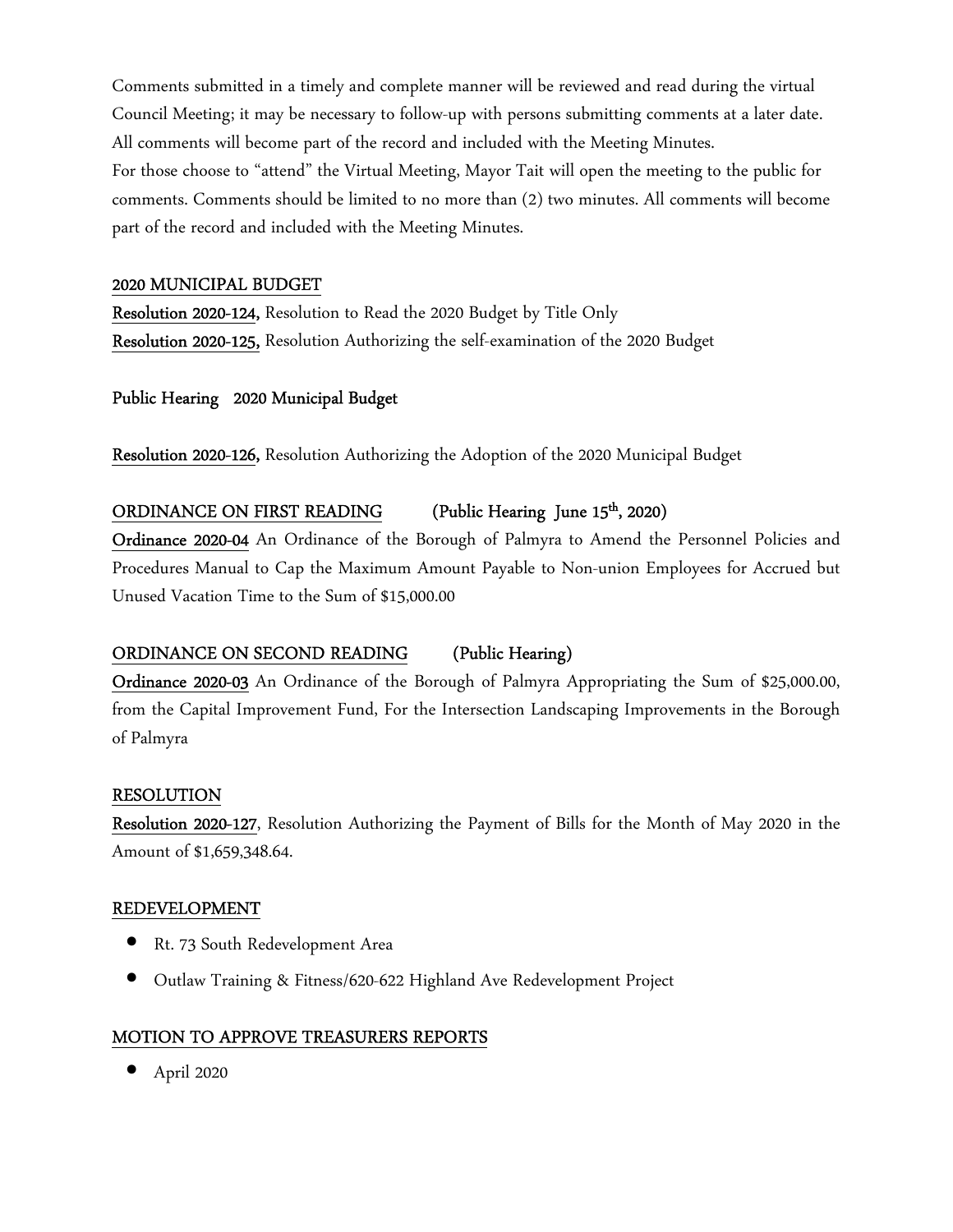Comments submitted in a timely and complete manner will be reviewed and read during the virtual Council Meeting; it may be necessary to follow-up with persons submitting comments at a later date. All comments will become part of the record and included with the Meeting Minutes.

For those choose to "attend" the Virtual Meeting, Mayor Tait will open the meeting to the public for comments. Comments should be limited to no more than (2) two minutes. All comments will become part of the record and included with the Meeting Minutes.

#### 2020 MUNICIPAL BUDGET

Resolution 2020-124, Resolution to Read the 2020 Budget by Title Only Resolution 2020-125, Resolution Authorizing the self-examination of the 2020 Budget

## Public Hearing 2020 Municipal Budget

Resolution 2020-126, Resolution Authorizing the Adoption of the 2020 Municipal Budget

## ORDINANCE ON FIRST READING (Public Hearing June 15<sup>th</sup>, 2020)

Ordinance 2020-04 An Ordinance of the Borough of Palmyra to Amend the Personnel Policies and Procedures Manual to Cap the Maximum Amount Payable to Non-union Employees for Accrued but Unused Vacation Time to the Sum of \$15,000.00

## ORDINANCE ON SECOND READING (Public Hearing)

Ordinance 2020-03 An Ordinance of the Borough of Palmyra Appropriating the Sum of \$25,000.00, from the Capital Improvement Fund, For the Intersection Landscaping Improvements in the Borough of Palmyra

#### RESOLUTION

Resolution 2020-127, Resolution Authorizing the Payment of Bills for the Month of May 2020 in the Amount of \$1,659,348.64.

#### REDEVELOPMENT

- Rt. 73 South Redevelopment Area
- Outlaw Training & Fitness/620-622 Highland Ave Redevelopment Project

#### MOTION TO APPROVE TREASURERS REPORTS

• April 2020